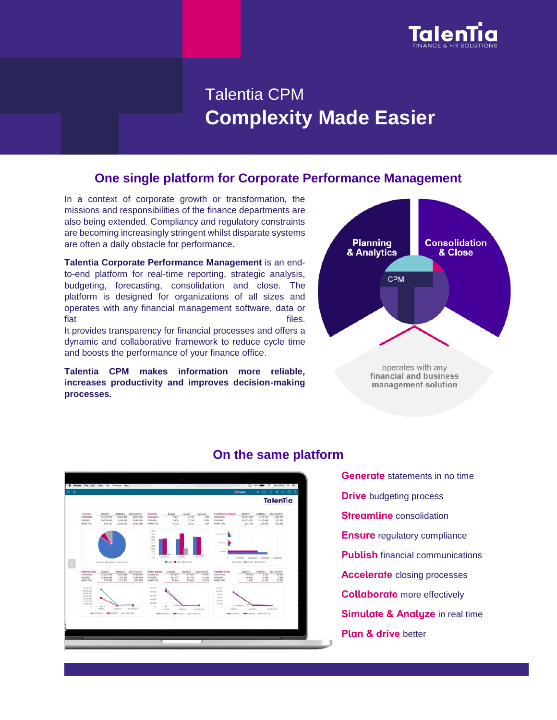

# Talentia CPM **Complexity Made Easier**

## **One single platform for Corporate Performance Management**

In a context of corporate growth or transformation, the missions and responsibilities of the finance departments are also being extended. Compliancy and regulatory constraints are becoming increasingly stringent whilst disparate systems are often a daily obstacle for performance.

**Talentia Corporate Performance Management** is an endto-end platform for real-time reporting, strategic analysis, budgeting, forecasting, consolidation and close. The platform is designed for organizations of all sizes and operates with any financial management software, data or flat files.

It provides transparency for financial processes and offers a dynamic and collaborative framework to reduce cycle time and boosts the performance of your finance office.

**Talentia CPM makes information more reliable, increases productivity and improves decision-making processes.**





## **On the same platform**

**Generate** statements in no time **Drive** budgeting process **Streamline** consolidation **Ensure** regulatory compliance **Publish** financial communications **Accelerate** closing processes **Collaborate** more effectively **Simulate & Analyze** in real time **Plan & drive** better